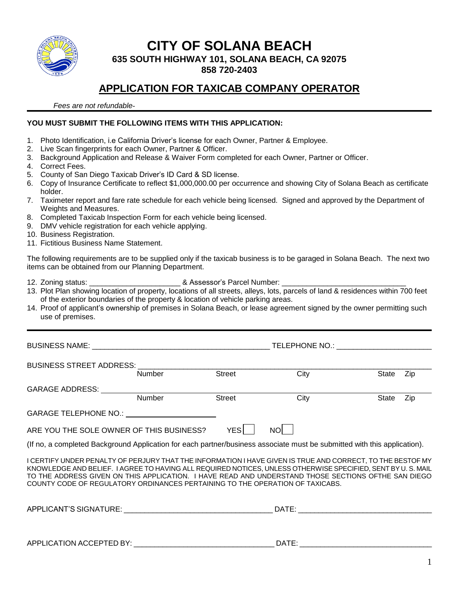

# **CITY OF SOLANA BEACH**

**635 SOUTH HIGHWAY 101, SOLANA BEACH, CA 92075**

**858 720-2403**

# **APPLICATION FOR TAXICAB COMPANY OPERATOR**

 *Fees are not refundable-*

#### **YOU MUST SUBMIT THE FOLLOWING ITEMS WITH THIS APPLICATION:**

- 1. Photo Identification, i.e California Driver's license for each Owner, Partner & Employee.
- 2. Live Scan fingerprints for each Owner, Partner & Officer.
- 3. Background Application and Release & Waiver Form completed for each Owner, Partner or Officer.
- 4. Correct Fees.
- 5. County of San Diego Taxicab Driver's ID Card & SD license.
- 6. Copy of Insurance Certificate to reflect \$1,000,000.00 per occurrence and showing City of Solana Beach as certificate holder.
- 7. Taximeter report and fare rate schedule for each vehicle being licensed. Signed and approved by the Department of Weights and Measures.
- 8. Completed Taxicab Inspection Form for each vehicle being licensed.
- 9. DMV vehicle registration for each vehicle applying.
- 10. Business Registration.
- 11. Fictitious Business Name Statement.

The following requirements are to be supplied only if the taxicab business is to be garaged in Solana Beach. The next two items can be obtained from our Planning Department.

12. Zoning status: \_\_\_\_\_\_\_\_\_\_\_\_\_\_\_\_\_\_\_\_\_\_\_\_\_\_\_\_\_\_\_\_& Assessor's Parcel Number:

- 13. Plot Plan showing location of property, locations of all streets, alleys, lots, parcels of land & residences within 700 feet of the exterior boundaries of the property & location of vehicle parking areas.
- 14. Proof of applicant's ownership of premises in Solana Beach, or lease agreement signed by the owner permitting such use of premises.

BUSINESS NAME: \_\_\_\_\_\_\_\_\_\_\_\_\_\_\_\_\_\_\_\_\_\_\_\_\_\_\_\_\_\_\_\_\_\_\_\_\_\_\_\_\_\_\_ TELEPHONE NO.: \_\_\_\_\_\_\_\_\_\_\_\_\_\_\_\_\_\_\_\_\_\_\_ BUSINESS STREET ADDRESS: \_\_\_\_\_\_\_\_\_\_\_\_\_\_\_\_\_\_\_\_\_\_\_\_\_\_\_\_\_\_\_\_\_\_\_\_\_\_\_\_\_\_\_\_\_\_\_\_\_\_\_\_\_\_\_\_\_\_\_\_\_\_\_\_\_\_\_\_\_\_\_ Number Street City State Zip GARAGE ADDRESS: Number Street City State Zip

| ARE YOU THE SOLE OWNER OF THIS BUSINESS? | YESI | <b>NO</b> |
|------------------------------------------|------|-----------|

GARAGE TELEPHONE NO.:

(If no, a completed Background Application for each partner/business associate must be submitted with this application).

I CERTIFY UNDER PENALTY OF PERJURY THAT THE INFORMATION I HAVE GIVEN IS TRUE AND CORRECT, TO THE BESTOF MY KNOWLEDGE AND BELIEF. I AGREE TO HAVING ALL REQUIRED NOTICES, UNLESS OTHERWISE SPECIFIED, SENT BY U. S. MAIL TO THE ADDRESS GIVEN ON THIS APPLICATION. I HAVE READ AND UNDERSTAND THOSE SECTIONS OFTHE SAN DIEGO COUNTY CODE OF REGULATORY ORDINANCES PERTAINING TO THE OPERATION OF TAXICABS.

| APPLICANT'S SIGNATURE:   | DATE: |
|--------------------------|-------|
|                          |       |
|                          |       |
| APPLICATION ACCEPTED BY: | DATE: |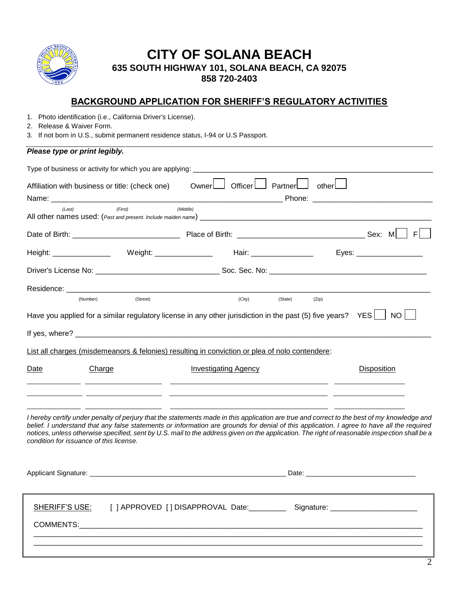

## **CITY OF SOLANA BEACH 635 SOUTH HIGHWAY 101, SOLANA BEACH, CA 92075 858 720-2403**

## **BACKGROUND APPLICATION FOR SHERIFF'S REGULATORY ACTIVITIES**

- 1. Photo identification (i.e., California Driver's License).
- 2. Release & Waiver Form.
- 3. If not born in U.S., submit permanent residence status, I-94 or U.S Passport.

#### *Please type or print legibly.*

| Affiliation with business or title: (check one)                                                                                                                                                                                                                                                                                                                                                                                                                                       |          | Owner   Officer   Partner   other                                                |         |       |                    |
|---------------------------------------------------------------------------------------------------------------------------------------------------------------------------------------------------------------------------------------------------------------------------------------------------------------------------------------------------------------------------------------------------------------------------------------------------------------------------------------|----------|----------------------------------------------------------------------------------|---------|-------|--------------------|
|                                                                                                                                                                                                                                                                                                                                                                                                                                                                                       |          |                                                                                  |         |       |                    |
| (Last)                                                                                                                                                                                                                                                                                                                                                                                                                                                                                | (First)  | (Middle)                                                                         |         |       |                    |
|                                                                                                                                                                                                                                                                                                                                                                                                                                                                                       |          |                                                                                  |         |       |                    |
| Height: ________________  Weight: _______________  Hair: _______________  Eyes: ___________________                                                                                                                                                                                                                                                                                                                                                                                   |          |                                                                                  |         |       |                    |
|                                                                                                                                                                                                                                                                                                                                                                                                                                                                                       |          |                                                                                  |         |       |                    |
|                                                                                                                                                                                                                                                                                                                                                                                                                                                                                       |          |                                                                                  |         |       |                    |
| (Number)                                                                                                                                                                                                                                                                                                                                                                                                                                                                              | (Street) | (City)                                                                           | (State) | (Zip) |                    |
| Have you applied for a similar regulatory license in any other jurisdiction in the past (5) five years? YES $\Box$ NO<br>List all charges (misdemeanors & felonies) resulting in conviction or plea of nolo contendere:                                                                                                                                                                                                                                                               |          |                                                                                  |         |       |                    |
| Date<br>Charge                                                                                                                                                                                                                                                                                                                                                                                                                                                                        |          | <b>Investigating Agency</b>                                                      |         |       | <b>Disposition</b> |
| I hereby certify under penalty of perjury that the statements made in this application are true and correct to the best of my knowledge and<br>belief. I understand that any false statements or information are grounds for denial of this application. I agree to have all the required<br>notices, unless otherwise specified, sent by U.S. mail to the address given on the application. The right of reasonable inspection shall be a<br>condition for issuance of this license. |          |                                                                                  |         |       |                    |
|                                                                                                                                                                                                                                                                                                                                                                                                                                                                                       |          |                                                                                  |         |       |                    |
| SHERIFF'S USE:<br><b>COMMENTS:</b>                                                                                                                                                                                                                                                                                                                                                                                                                                                    |          | [] APPROVED [] DISAPPROVAL Date: ______________ Signature: _____________________ |         |       |                    |

 $\_$  ,  $\_$  ,  $\_$  ,  $\_$  ,  $\_$  ,  $\_$  ,  $\_$  ,  $\_$  ,  $\_$  ,  $\_$  ,  $\_$  ,  $\_$  ,  $\_$  ,  $\_$  ,  $\_$  ,  $\_$  ,  $\_$  ,  $\_$  ,  $\_$  ,  $\_$  ,  $\_$  ,  $\_$  ,  $\_$  ,  $\_$  ,  $\_$  ,  $\_$  ,  $\_$  ,  $\_$  ,  $\_$  ,  $\_$  ,  $\_$  ,  $\_$  ,  $\_$  ,  $\_$  ,  $\_$  ,  $\_$  ,  $\_$  ,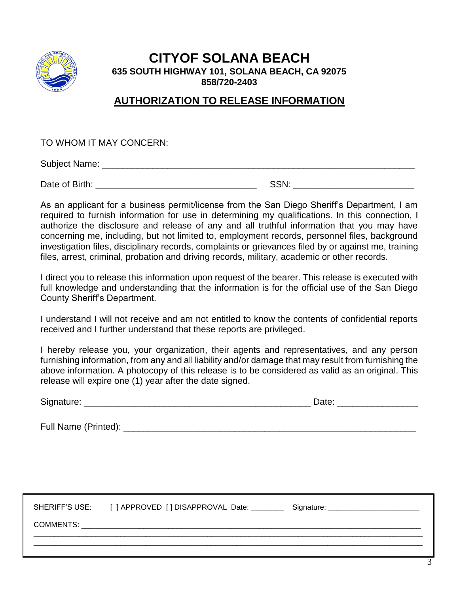

## **CITYOF SOLANA BEACH 635 SOUTH HIGHWAY 101, SOLANA BEACH, CA 92075 858/720-2403**

## **AUTHORIZATION TO RELEASE INFORMATION**

TO WHOM IT MAY CONCERN:

Subject Name: \_\_\_\_\_\_\_\_\_\_\_\_\_\_\_\_\_\_\_\_\_\_\_\_\_\_\_\_\_\_\_\_\_\_\_\_\_\_\_\_\_\_\_\_\_\_\_\_\_\_\_\_\_\_\_\_\_\_\_\_\_\_

Date of Birth: \_\_\_\_\_\_\_\_\_\_\_\_\_\_\_\_\_\_\_\_\_\_\_\_\_\_\_\_\_\_\_\_ SSN: \_\_\_\_\_\_\_\_\_\_\_\_\_\_\_\_\_\_\_\_\_\_\_\_

As an applicant for a business permit/license from the San Diego Sheriff's Department, I am required to furnish information for use in determining my qualifications. In this connection, I authorize the disclosure and release of any and all truthful information that you may have concerning me, including, but not limited to, employment records, personnel files, background investigation files, disciplinary records, complaints or grievances filed by or against me, training files, arrest, criminal, probation and driving records, military, academic or other records.

I direct you to release this information upon request of the bearer. This release is executed with full knowledge and understanding that the information is for the official use of the San Diego County Sheriff's Department.

I understand I will not receive and am not entitled to know the contents of confidential reports received and I further understand that these reports are privileged.

I hereby release you, your organization, their agents and representatives, and any person furnishing information, from any and all liability and/or damage that may result from furnishing the above information. A photocopy of this release is to be considered as valid as an original. This release will expire one (1) year after the date signed.

|                                                                                                                                                                                                                                | Date: ____________________ |  |
|--------------------------------------------------------------------------------------------------------------------------------------------------------------------------------------------------------------------------------|----------------------------|--|
|                                                                                                                                                                                                                                |                            |  |
|                                                                                                                                                                                                                                |                            |  |
| SHERIFF'S USE: [ ] APPROVED [ ] DISAPPROVAL Date: ____________ Signature: __________________________                                                                                                                           |                            |  |
| COMMENTS: The community of the community of the community of the community of the community of the community of the community of the community of the community of the community of the community of the community of the comm |                            |  |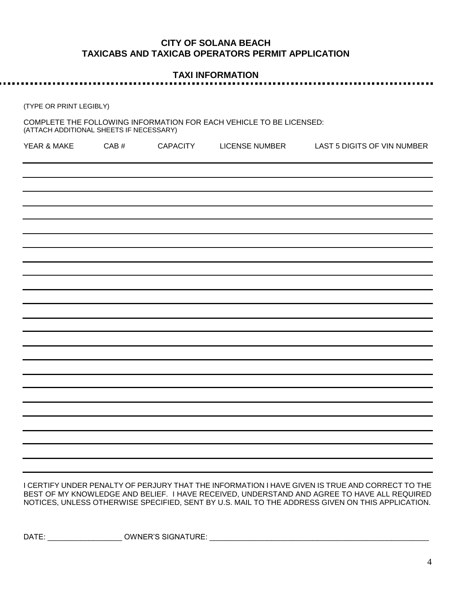### **CITY OF SOLANA BEACH TAXICABS AND TAXICAB OPERATORS PERMIT APPLICATION**

# **TAXI INFORMATION**

(TYPE OR PRINT LEGIBLY)

. . . . . . . . . .

.............................

COMPLETE THE FOLLOWING INFORMATION FOR EACH VEHICLE TO BE LICENSED: (ATTACH ADDITIONAL SHEETS IF NECESSARY)

| YEAR & MAKE | $\mathsf{CAB}~\#$ | CAPACITY | LICENSE NUMBER | LAST 5 DIGITS OF VIN NUMBER |
|-------------|-------------------|----------|----------------|-----------------------------|
|             |                   |          |                |                             |
|             |                   |          |                |                             |
|             |                   |          |                |                             |
|             |                   |          |                |                             |
|             |                   |          |                |                             |
|             |                   |          |                |                             |
|             |                   |          |                |                             |
|             |                   |          |                |                             |
|             |                   |          |                |                             |
|             |                   |          |                |                             |
|             |                   |          |                |                             |
|             |                   |          |                |                             |
|             |                   |          |                |                             |
|             |                   |          |                |                             |
|             |                   |          |                |                             |
|             |                   |          |                |                             |
|             |                   |          |                |                             |

I CERTIFY UNDER PENALTY OF PERJURY THAT THE INFORMATION I HAVE GIVEN IS TRUE AND CORRECT TO THE BEST OF MY KNOWLEDGE AND BELIEF. I HAVE RECEIVED, UNDERSTAND AND AGREE TO HAVE ALL REQUIRED NOTICES, UNLESS OTHERWISE SPECIFIED, SENT BY U.S. MAIL TO THE ADDRESS GIVEN ON THIS APPLICATION.

DATE: \_\_\_\_\_\_\_\_\_\_\_\_\_\_\_\_\_\_\_\_\_\_\_ OWNER'S SIGNATURE: \_\_\_\_\_\_\_\_\_\_\_\_\_\_\_\_\_\_\_\_\_\_\_\_\_\_\_\_\_\_\_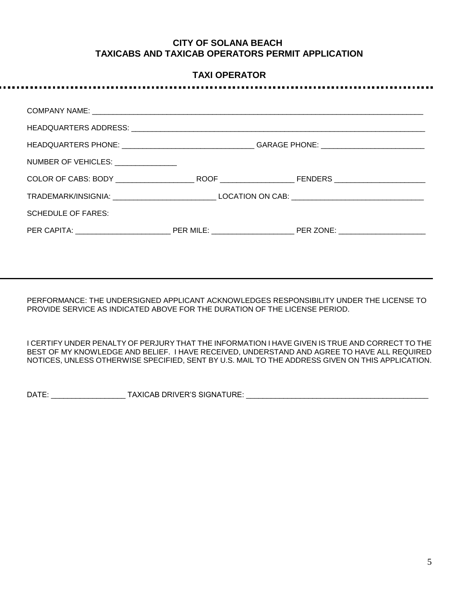#### **CITY OF SOLANA BEACH TAXICABS AND TAXICAB OPERATORS PERMIT APPLICATION**

#### **TAXI OPERATOR**

. . . . . .

| NUMBER OF VEHICLES: University Processing |  |  |
|-------------------------------------------|--|--|
|                                           |  |  |
|                                           |  |  |
| <b>SCHEDULE OF FARES:</b>                 |  |  |
|                                           |  |  |
|                                           |  |  |

PERFORMANCE: THE UNDERSIGNED APPLICANT ACKNOWLEDGES RESPONSIBILITY UNDER THE LICENSE TO PROVIDE SERVICE AS INDICATED ABOVE FOR THE DURATION OF THE LICENSE PERIOD.

I CERTIFY UNDER PENALTY OF PERJURY THAT THE INFORMATION I HAVE GIVEN IS TRUE AND CORRECT TO THE BEST OF MY KNOWLEDGE AND BELIEF. I HAVE RECEIVED, UNDERSTAND AND AGREE TO HAVE ALL REQUIRED NOTICES, UNLESS OTHERWISE SPECIFIED, SENT BY U.S. MAIL TO THE ADDRESS GIVEN ON THIS APPLICATION.

DATE: \_\_\_\_\_\_\_\_\_\_\_\_\_\_\_\_\_\_ TAXICAB DRIVER'S SIGNATURE: \_\_\_\_\_\_\_\_\_\_\_\_\_\_\_\_\_\_\_\_\_\_\_\_\_\_\_\_\_\_\_\_\_\_\_\_\_\_\_\_\_\_\_\_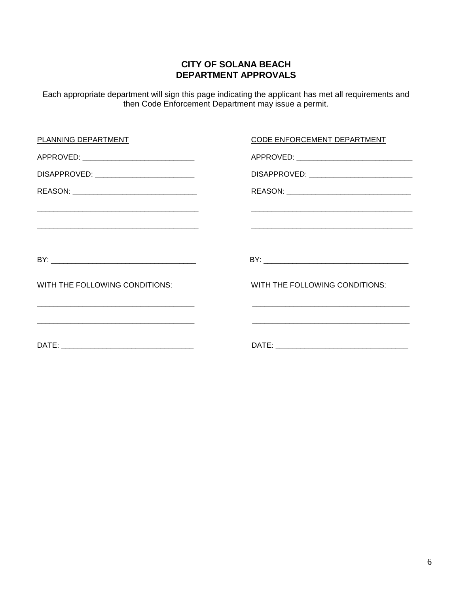## **CITY OF SOLANA BEACH DEPARTMENT APPROVALS**

Each appropriate department will sign this page indicating the applicant has met all requirements and then Code Enforcement Department may issue a permit.

| CODE ENFORCEMENT DEPARTMENT                                                                                        |
|--------------------------------------------------------------------------------------------------------------------|
|                                                                                                                    |
| DISAPPROVED: _____________________________                                                                         |
|                                                                                                                    |
|                                                                                                                    |
|                                                                                                                    |
|                                                                                                                    |
| WITH THE FOLLOWING CONDITIONS:                                                                                     |
|                                                                                                                    |
| <u> 1990 - Jan James James James James James James James James James James James James James James James James</u> |
|                                                                                                                    |
|                                                                                                                    |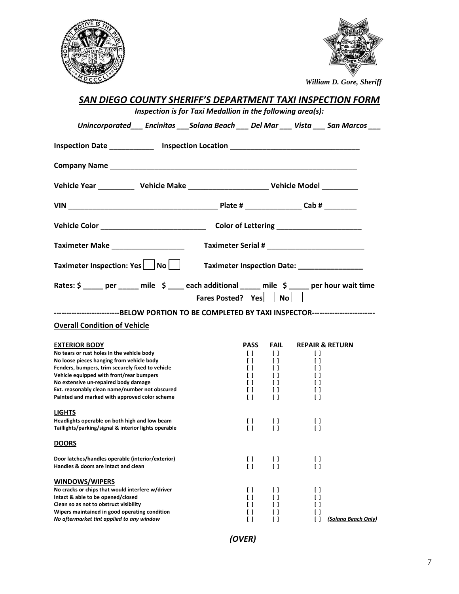



 *William D. Gore, Sheriff*

| SAN DIEGO COUNTY SHERIFF'S DEPARTMENT TAXI INSPECTION FORM<br>Inspection is for Taxi Medallion in the following area(s): |                      |                  |                  |                  |                            |
|--------------------------------------------------------------------------------------------------------------------------|----------------------|------------------|------------------|------------------|----------------------------|
| Unincorporated___ Encinitas ___ Solana Beach ___ Del Mar ___ Vista ___ San Marcos ___                                    |                      |                  |                  |                  |                            |
|                                                                                                                          |                      |                  |                  |                  |                            |
| Inspection Date _____________ Inspection Location ______________________________                                         |                      |                  |                  |                  |                            |
|                                                                                                                          |                      |                  |                  |                  |                            |
|                                                                                                                          |                      |                  |                  |                  |                            |
|                                                                                                                          |                      |                  |                  |                  |                            |
|                                                                                                                          |                      |                  |                  |                  |                            |
| Taximeter Make __________________                                                                                        |                      |                  |                  |                  |                            |
| Taximeter Inspection: Yes   No     Taximeter Inspection Date: __________________                                         |                      |                  |                  |                  |                            |
| Rates: \$ _____ per _____ mile \$ ____ each additional _____ mile \$ _____ per hour wait time                            | Fares Posted? Yes No |                  |                  |                  |                            |
| -------------------------BELOW PORTION TO BE COMPLETED BY TAXI INSPECTOR-------------------------                        |                      |                  |                  |                  |                            |
| <b>Overall Condition of Vehicle</b>                                                                                      |                      |                  |                  |                  |                            |
| <b>EXTERIOR BODY</b>                                                                                                     |                      | <b>PASS</b>      | FAIL             |                  | <b>REPAIR &amp; RETURN</b> |
| No tears or rust holes in the vehicle body                                                                               |                      | $\Box$           | $\Box$           | $\Box$           |                            |
| No loose pieces hanging from vehicle body<br>Fenders, bumpers, trim securely fixed to vehicle                            |                      | $\Box$<br>$\Box$ | $\Box$<br>$\Box$ | $\Box$<br>$\Box$ |                            |
| Vehicle equipped with front/rear bumpers                                                                                 |                      | $\Box$           | $\Box$           | $\Box$           |                            |
| No extensive un-repaired body damage                                                                                     |                      | $\Box$           | $\Box$           | $\Box$           |                            |
| Ext. reasonably clean name/number not obscured                                                                           |                      | $\Box$           | $\Box$           | $\Box$           |                            |
| Painted and marked with approved color scheme                                                                            |                      | $\Box$           | $\Box$           | H                |                            |
| <b>LIGHTS</b>                                                                                                            |                      |                  |                  |                  |                            |
| Headlights operable on both high and low beam<br>Taillights/parking/signal & interior lights operable                    |                      | U.<br>I.         | $\Box$<br>ΙI     | U<br>H           |                            |
| <b>DOORS</b>                                                                                                             |                      |                  |                  |                  |                            |
| Door latches/handles operable (interior/exterior)                                                                        |                      | $\Box$           | Ħ                | $\Box$           |                            |
| Handles & doors are intact and clean                                                                                     |                      | $\Box$           | ΙI               | H                |                            |
| <b>WINDOWS/WIPERS</b>                                                                                                    |                      |                  |                  |                  |                            |
| No cracks or chips that would interfere w/driver                                                                         |                      | ΙI               | Ιl               | H                |                            |
| Intact & able to be opened/closed                                                                                        |                      | Ιl               | Π                | ΙI               |                            |
| Clean so as not to obstruct visibility                                                                                   |                      | ΙI               | Π                | ΙI               |                            |
| Wipers maintained in good operating condition                                                                            |                      | ΙI               | ΙI               | ΙI<br>Ιl         | (Solana Beach Only)        |
| No aftermarket tint applied to any window                                                                                |                      | Ιl               | Ιl               |                  |                            |

*(OVER)*